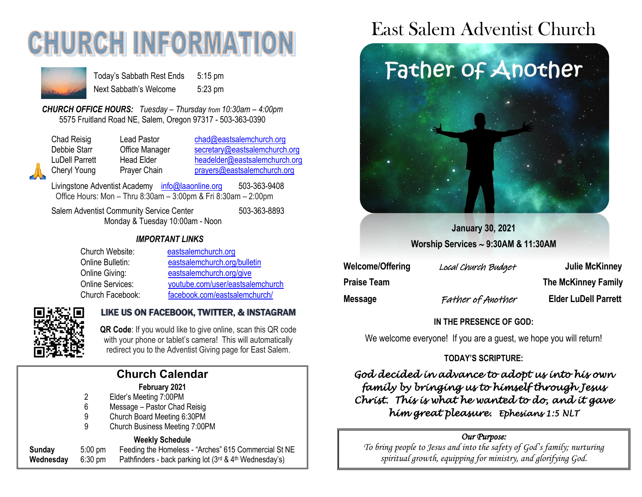# **CHURCH INFORMATION**



Today's Sabbath Rest Ends 5:15 pm Next Sabbath's Welcome 5:23 pm

*CHURCH OFFICE HOURS: Tuesday – Thursday from 10:30am – 4:00pm* 5575 Fruitland Road NE, Salem, Oregon 97317 - 503-363-0390

Chad Reisig Chad Pastor Chad@eastsalemchurch.org Debbie Starr **Office Manager** [secretary@eastsalemchurch.org](mailto:secretary@eastsalemchurch.org) LuDell Parrett Head Elder [headelder@eastsalemchurch.org](mailto:headelder@eastsalemchurch.org) Cheryl Young Prayer Chain [prayers@eastsalemchurch.org](mailto:prayers@eastsalemchurch.org)

Livingstone Adventist Academy [info@laaonline.org](mailto:info@laaonline.org) 503-363-9408 Office Hours: Mon – Thru 8:30am – 3:00pm & Fri 8:30am – 2:00pm

Salem Adventist Community Service Center 503-363-8893 Monday & Tuesday 10:00am - Noon

#### *IMPORTANT LINKS*

| Church Website:  | eastsalemchurch.org              |
|------------------|----------------------------------|
| Online Bulletin: | eastsalemchurch.org/bulletin     |
| Online Giving:   | eastsalemchurch.org/give         |
| Online Services: | youtube.com/user/eastsalemchurch |
| Church Facebook: | facebook.com/eastsalemchurch/    |



#### LIKE US ON FACEBOOK, TWITTER, & INSTAGRAM

 **QR Code**: If you would like to give online, scan this QR code with your phone or tablet's camera! This will automatically redirect you to the Adventist Giving page for East Salem.

#### **February 2021**

- 2 Elder's Meeting 7:00PM
- 6 Message Pastor Chad Reisig
- 9 Church Board Meeting 6:30PM
- 9 Church Business Meeting 7:00PM

#### **Weekly Schedule**

| Sunday    | $5:00 \text{ pm}$ | .<br>Feeding the Homeless - "Arches" 615 Commercial St NE               |
|-----------|-------------------|-------------------------------------------------------------------------|
| Wednesday | $6:30 \text{ pm}$ | Pathfinders - back parking lot $(3^{rd}$ & 4 <sup>th</sup> Wednesday's) |

## East Salem Adventist Church



**January 30, 2021 Worship Services 9:30AM & 11:30AM**

| Welcome/Offering   | Local Church Budget | Julie McKinney              |
|--------------------|---------------------|-----------------------------|
| <b>Praise Team</b> |                     | <b>The McKinney Family</b>  |
| <b>Message</b>     | Father of Another   | <b>Elder LuDell Parrett</b> |

#### **IN THE PRESENCE OF GOD:**

We welcome everyone! If you are a quest, we hope you will return!

#### **TODAY'S SCRIPTURE:**

*God decided in advance to adopt us into his own family by bringing us to himself through Jesus Christ. This is what he wanted to do, and it gave him great pleasure. Ephesians 1:5 NLT* 

#### *Our Purpose:*

*To bring people to Jesus and into the safety of God's family; nurturing spiritual growth, equipping for ministry, and glorifying God.*